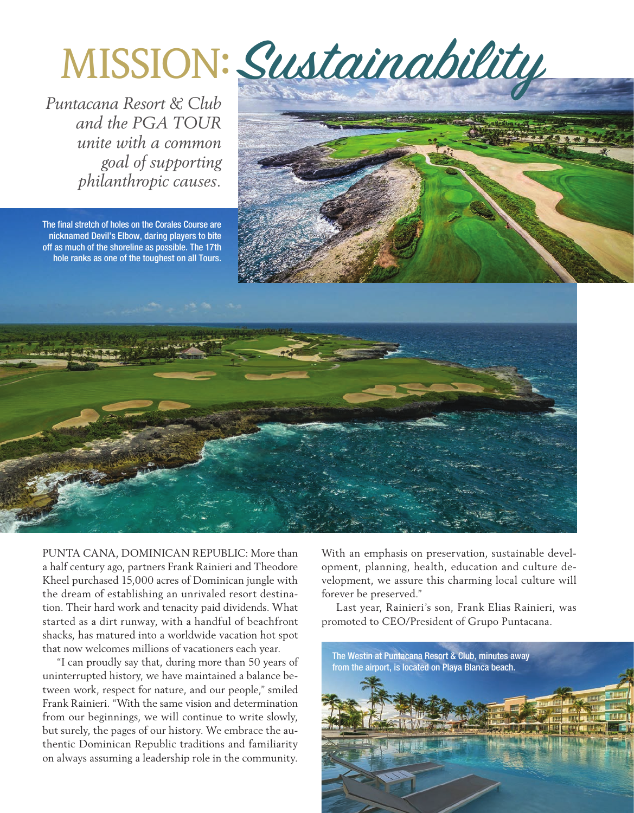*and the PGA TOUR unite with a common goal of supporting philanthropic causes.*

The final stretch of holes on the Corales Course are nicknamed Devil's Elbow, daring players to bite off as much of the shoreline as possible. The 17th hole ranks as one of the toughest on all Tours.



PUNTA CANA, DOMINICAN REPUBLIC: More than a half century ago, partners Frank Rainieri and Theodore Kheel purchased 15,000 acres of Dominican jungle with the dream of establishing an unrivaled resort destination. Their hard work and tenacity paid dividends. What started as a dirt runway, with a handful of beachfront shacks, has matured into a worldwide vacation hot spot that now welcomes millions of vacationers each year.

"I can proudly say that, during more than 50 years of uninterrupted history, we have maintained a balance between work, respect for nature, and our people," smiled Frank Rainieri. "With the same vision and determination from our beginnings, we will continue to write slowly, but surely, the pages of our history. We embrace the authentic Dominican Republic traditions and familiarity on always assuming a leadership role in the community.

With an emphasis on preservation, sustainable development, planning, health, education and culture development, we assure this charming local culture will forever be preserved."

Last year, Rainieri's son, Frank Elias Rainieri, was promoted to CEO/President of Grupo Puntacana.